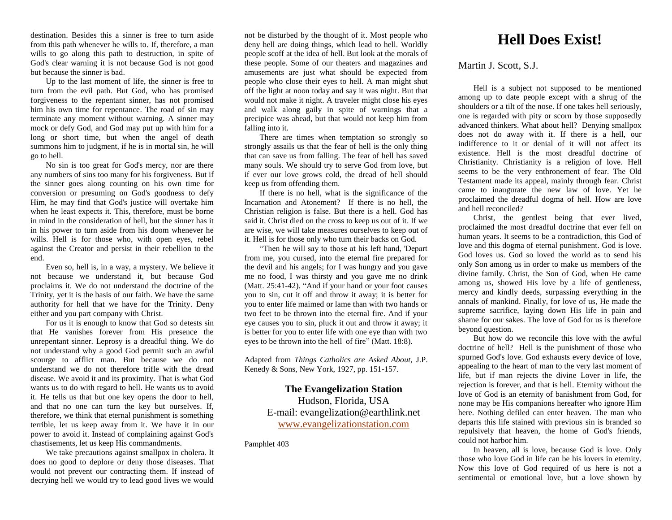destination. Besides this a sinner is free to turn aside from this path whenever he wills to. If, therefore, a man wills to go along this path to destruction, in spite of God's clear warning it is not because God is not good but because the sinner is bad.

Up to the last moment of life, the sinner is free to turn from the evil path. But God, who has promised forgiveness to the repentant sinner, has not promised him his own time for repentance. The road of sin may terminate any moment without warning. A sinner may mock or defy God, and God may put up with him for a long or short time, but when the angel of death summons him to judgment, if he is in mortal sin, he will go to hell.

No sin is too great for God's mercy, nor are there any numbers of sins too many for his forgiveness. But if the sinner goes along counting on his own time for conversion or presuming on God's goodness to defy Him, he may find that God's justice will overtake him when he least expects it. This, therefore, must be borne in mind in the consideration of hell, but the sinner has it in his power to turn aside from his doom whenever he wills. Hell is for those who, with open eyes, rebel against the Creator and persist in their rebellion to the end.

Even so, hell is, in a way, a mystery. We believe it not because we understand it, but because God proclaims it. We do not understand the doctrine of the Trinity, yet it is the basis of our faith. We have the same authority for hell that we have for the Trinity. Deny either and you part company with Christ.

For us it is enough to know that God so detests sin that He vanishes forever from His presence the unrepentant sinner. Leprosy is a dreadful thing. We do not understand why a good God permit such an awful scourge to afflict man. But because we do not understand we do not therefore trifle with the dread disease. We avoid it and its proximity. That is what God wants us to do with regard to hell. He wants us to avoid it. He tells us that but one key opens the door to hell, and that no one can turn the key but ourselves. If, therefore, we think that eternal punishment is something terrible, let us keep away from it. We have it in our power to avoid it. Instead of complaining against God's chastisements, let us keep His commandments.

We take precautions against smallpox in cholera. It does no good to deplore or deny those diseases. That would not prevent our contracting them. If instead of decrying hell we would try to lead good lives we would

not be disturbed by the thought of it. Most people who deny hell are doing things, which lead to hell. Worldly people scoff at the idea of hell. But look at the morals of these people. Some of our theaters and magazines and amusements are just what should be expected from people who close their eyes to hell. A man might shut off the light at noon today and say it was night. But that would not make it night. A traveler might close his eyes and walk along gaily in spite of warnings that a precipice was ahead, but that would not keep him from falling into it.

There are times when temptation so strongly so strongly assails us that the fear of hell is the only thing that can save us from falling. The fear of hell has saved many souls. We should try to serve God from love, but if ever our love grows cold, the dread of hell should keep us from offending them.

If there is no hell, what is the significance of the Incarnation and Atonement? If there is no hell, the Christian religion is false. But there is a hell. God has said it. Christ died on the cross to keep us out of it. If we are wise, we will take measures ourselves to keep out of it. Hell is for those only who turn their backs on God.

"Then he will say to those at his left hand, 'Depart from me, you cursed, into the eternal fire prepared for the devil and his angels; for I was hungry and you gave me no food, I was thirsty and you gave me no drink (Matt. 25:41-42). "And if your hand or your foot causes you to sin, cut it off and throw it away; it is better for you to enter life maimed or lame than with two hands or two feet to be thrown into the eternal fire. And if your eye causes you to sin, pluck it out and throw it away; it is better for you to enter life with one eye than with two eyes to be thrown into the hell of fire" (Matt. 18:8).

Adapted from *Things Catholics are Asked About,* J.P. Kenedy & Sons, New York, 1927, pp. 151-157.

> **The Evangelization Station**  Hudson, Florida, USA E-mail: evangelization@earthlink.net [www.evangelizationstation.com](http://www.pjpiisoe.org/)

Pamphlet 403

## **Hell Does Exist!**

Martin J. Scott, S.J.

Hell is a subject not supposed to be mentioned among up to date people except with a shrug of the shoulders or a tilt of the nose. If one takes hell seriously, one is regarded with pity or scorn by those supposedly advanced thinkers. What about hell? Denying smallpox does not do away with it. If there is a hell, our indifference to it or denial of it will not affect its existence. Hell is the most dreadful doctrine of Christianity. Christianity is a religion of love. Hell seems to be the very enthronement of fear. The Old Testament made its appeal, mainly through fear. Christ came to inaugurate the new law of love. Yet he proclaimed the dreadful dogma of hell. How are love and hell reconciled?

Christ, the gentlest being that ever lived, proclaimed the most dreadful doctrine that ever fell on human years. It seems to be a contradiction, this God of love and this dogma of eternal punishment. God is love. God loves us. God so loved the world as to send his only Son among us in order to make us members of the divine family. Christ, the Son of God, when He came among us, showed His love by a life of gentleness, mercy and kindly deeds, surpassing everything in the annals of mankind. Finally, for love of us, He made the supreme sacrifice, laying down His life in pain and shame for our sakes. The love of God for us is therefore beyond question.

But how do we reconcile this love with the awful doctrine of hell? Hell is the punishment of those who spurned God's love. God exhausts every device of love, appealing to the heart of man to the very last moment of life, but if man rejects the divine Lover in life, the rejection is forever, and that is hell. Eternity without the love of God is an eternity of banishment from God, for none may be His companions hereafter who ignore Him here. Nothing defiled can enter heaven. The man who departs this life stained with previous sin is branded so repulsively that heaven, the home of God's friends, could not harbor him.

In heaven, all is love, because God is love. Only those who love God in life can be his lovers in eternity. Now this love of God required of us here is not a sentimental or emotional love, but a love shown by